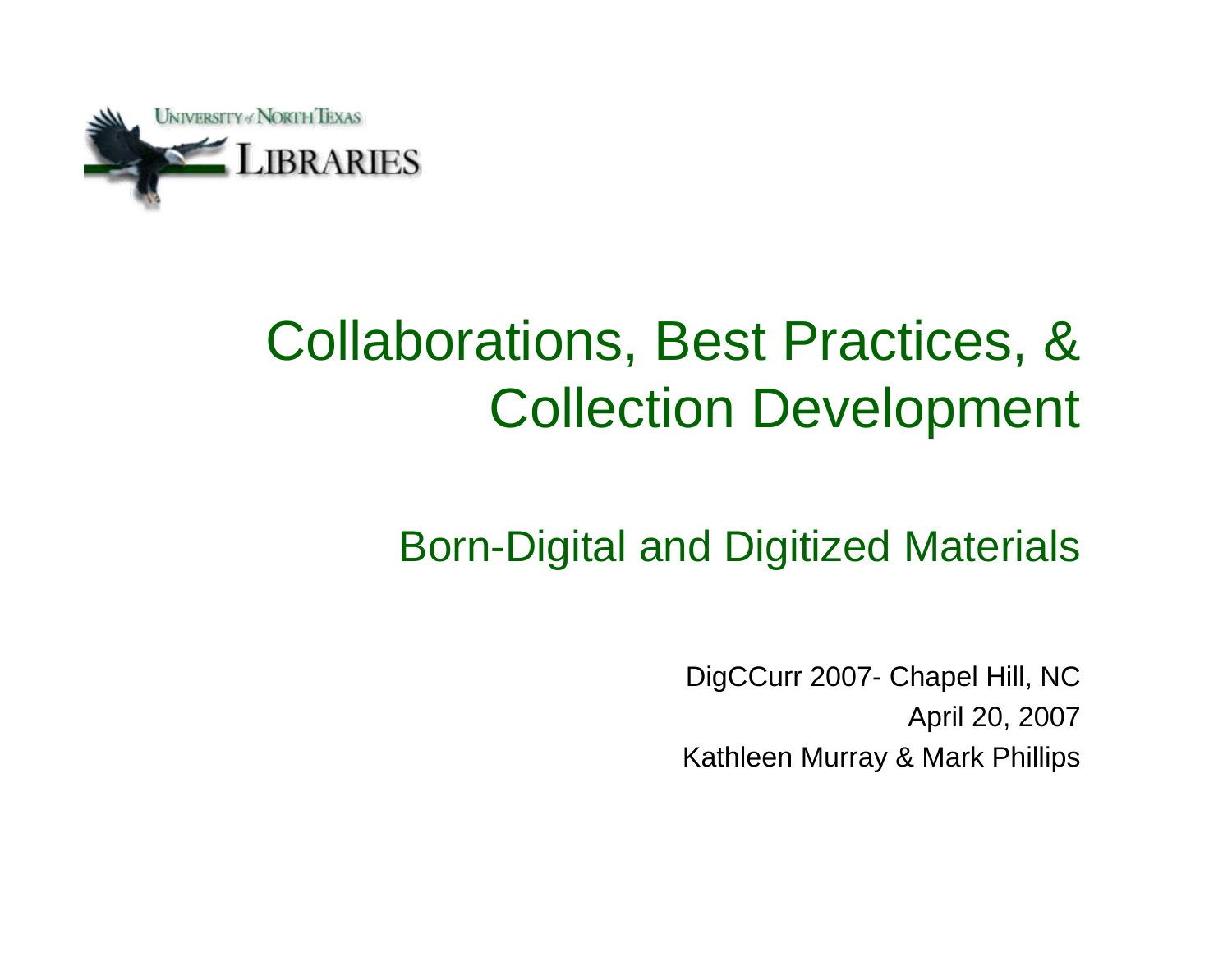

### Collaborations, Best Practices, & Collection Development

#### Born-Digital and Digitized Materials

DigCCurr 2007- Chapel Hill, NC April 20, 2007 Kathleen Murray & Mark Phillips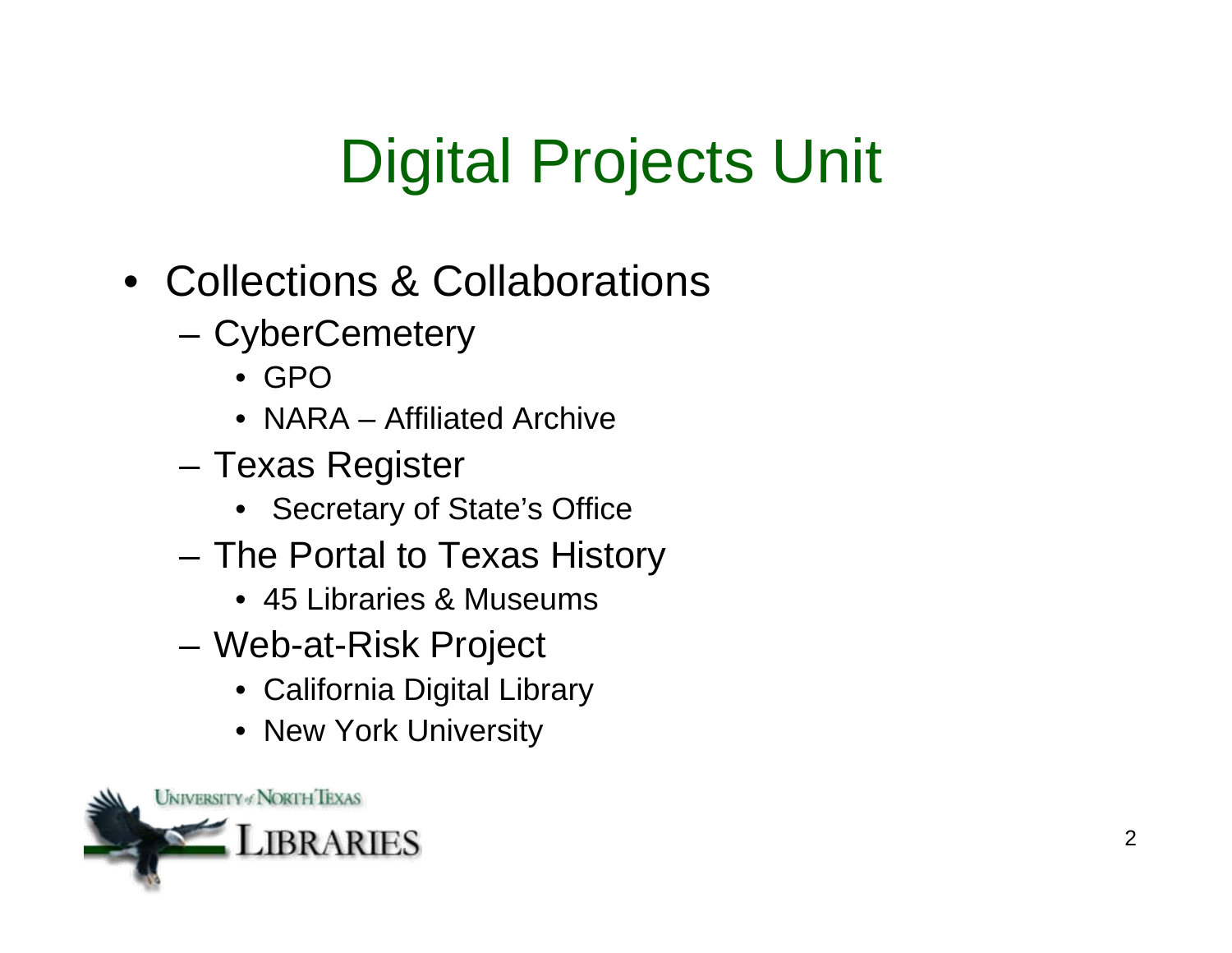# Digital Projects Unit

- Collections & Collaborations
	- CyberCemetery
		- GPO
		- NARA Affiliated Archive
	- Texas Register
		- Secretary of State's Office
	- The Portal to Texas History
		- 45 Libraries & Museums
	- Web-at-Risk Project
		- California Digital Library
		- New York University

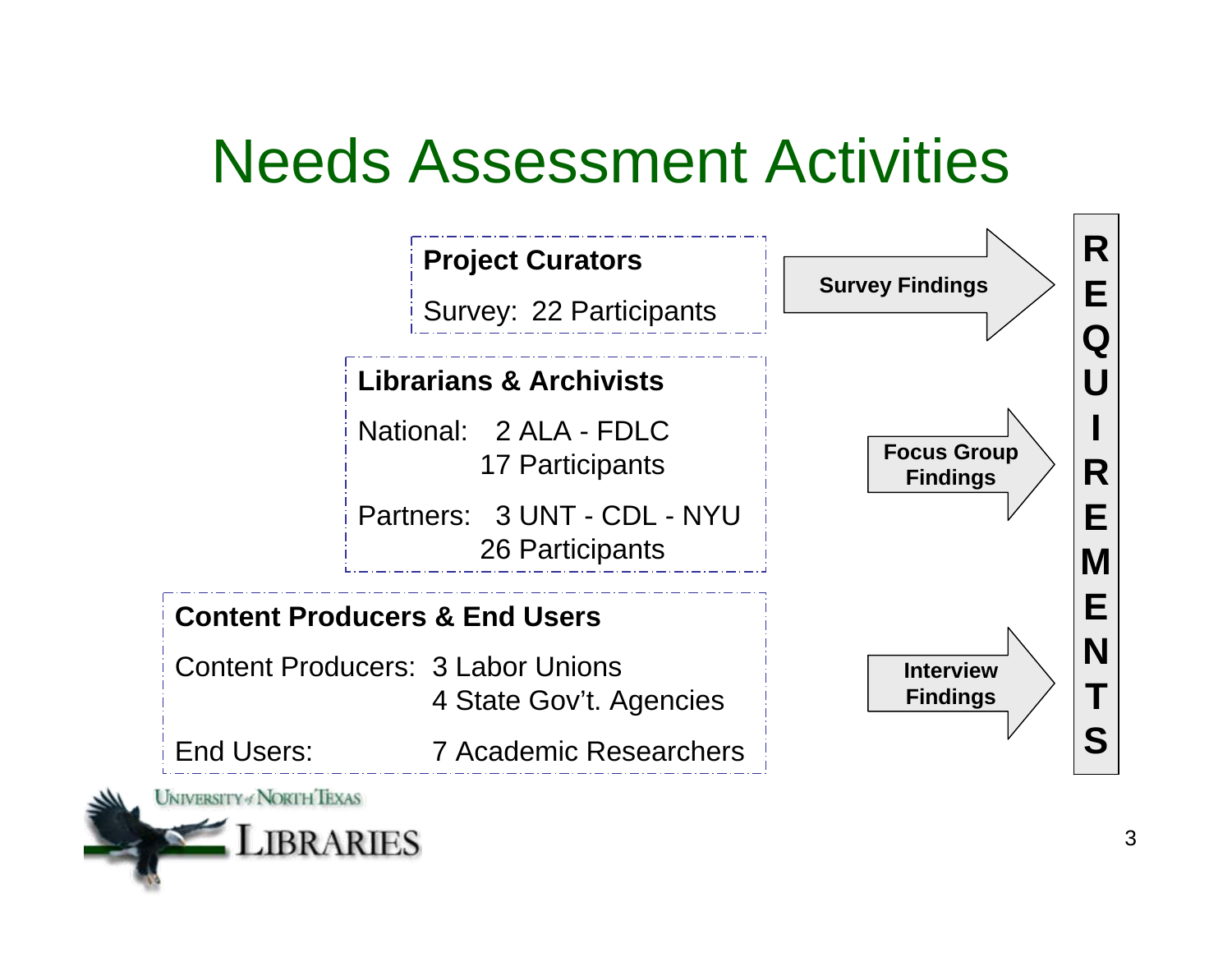### Needs Assessment Activities

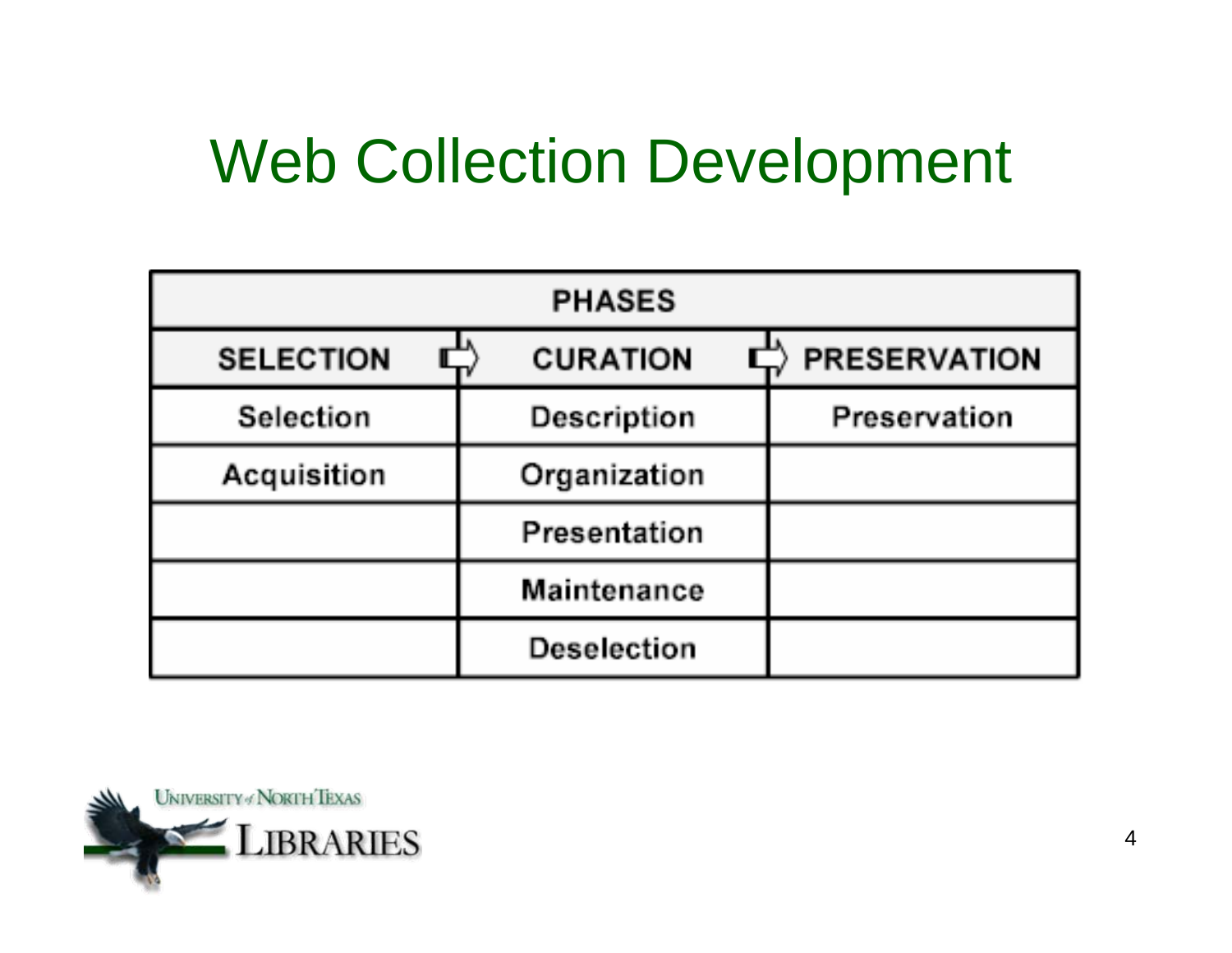### Web Collection Development

| <b>PHASES</b>    |                 |                     |
|------------------|-----------------|---------------------|
| <b>SELECTION</b> | <b>CURATION</b> | <b>PRESERVATION</b> |
| Selection        | Description     | Preservation        |
| Acquisition      | Organization    |                     |
|                  | Presentation    |                     |
|                  | Maintenance     |                     |
|                  | Deselection     |                     |

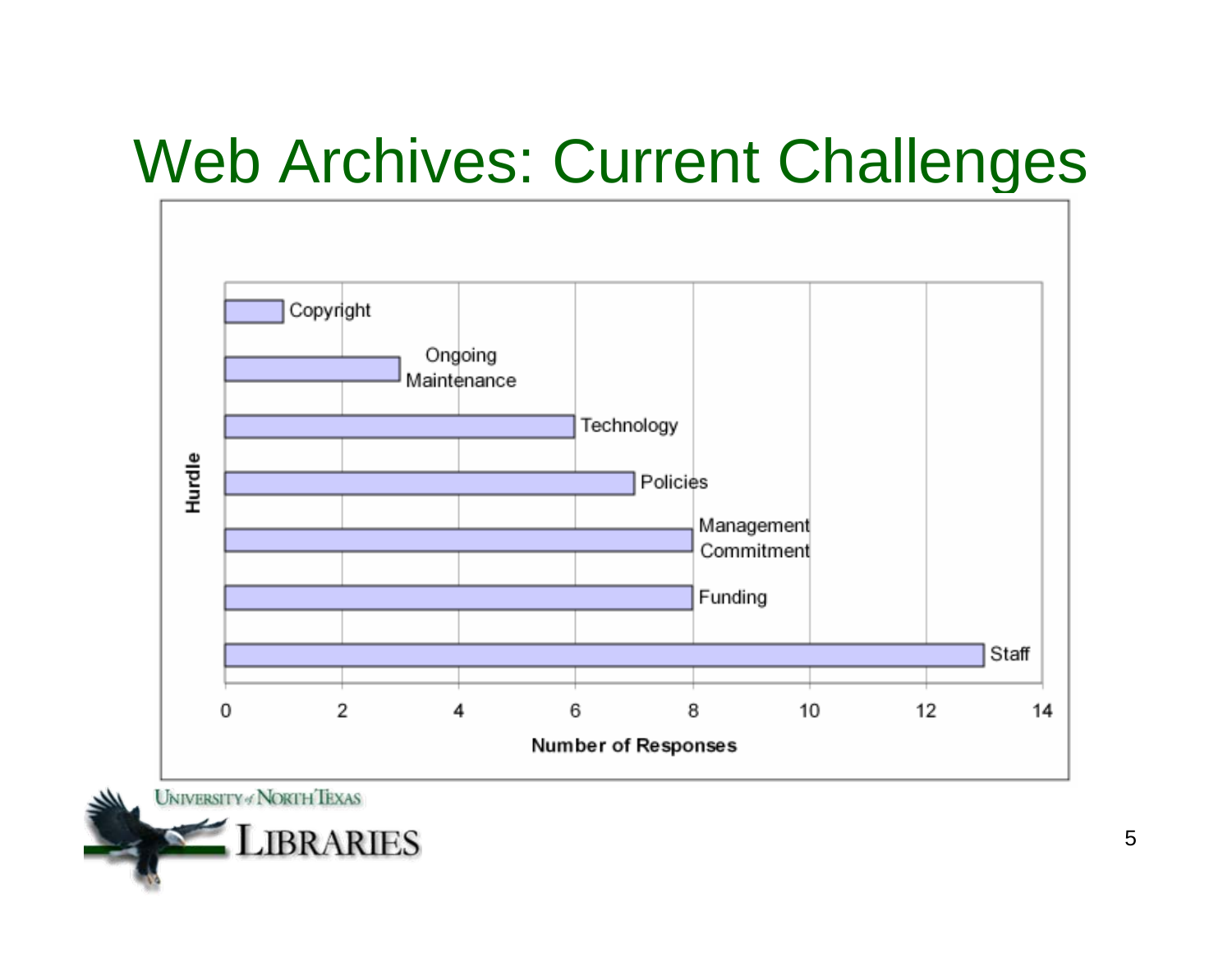### Web Archives: Current Challenges



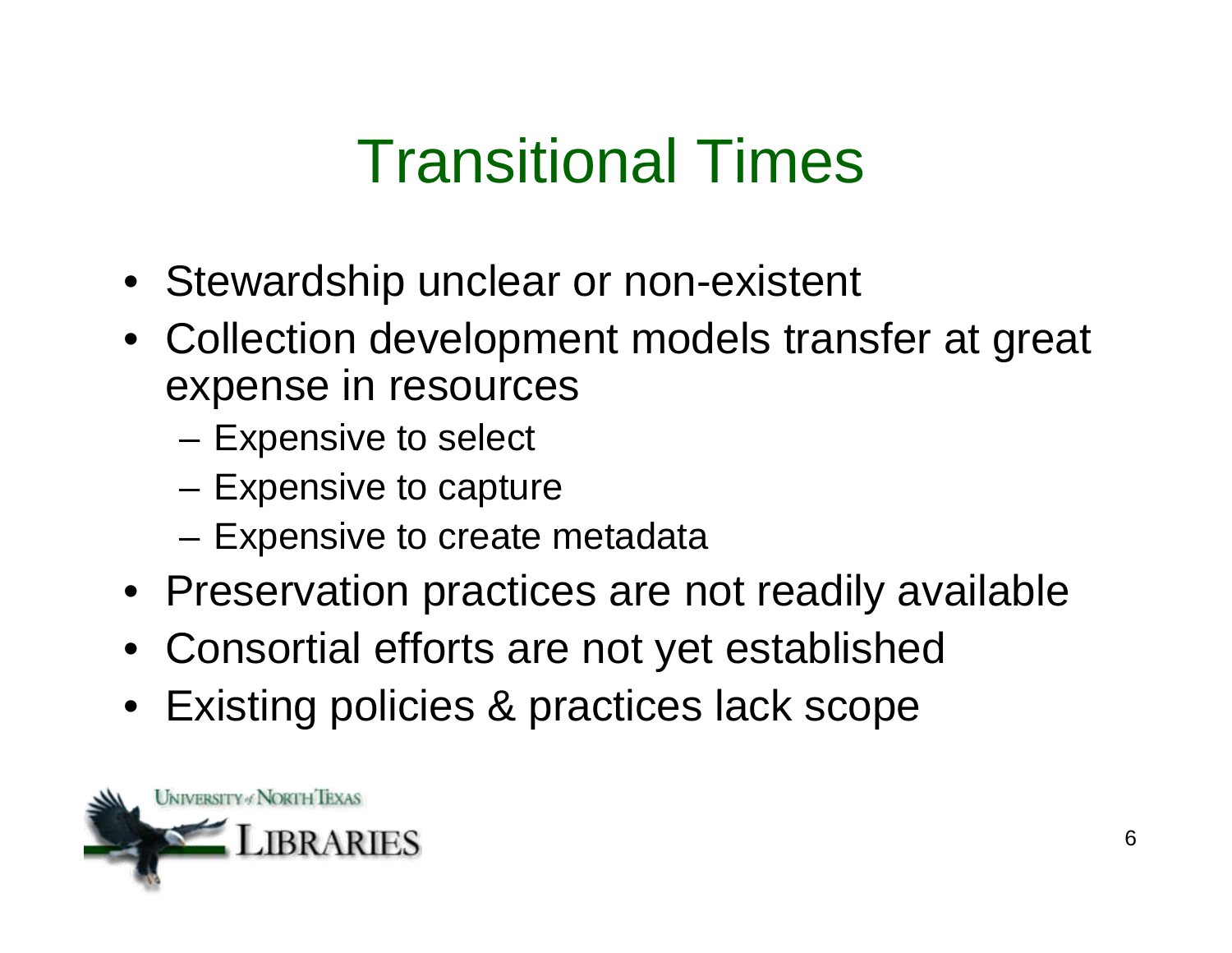### Transitional Times

- Stewardship unclear or non-existent
- Collection development models transfer at great expense in resources
	- Expensive to select
	- Expensive to capture
	- Expensive to create metadata
- Preservation practices are not readily available
- Consortial efforts are not yet established
- Existing policies & practices lack scope

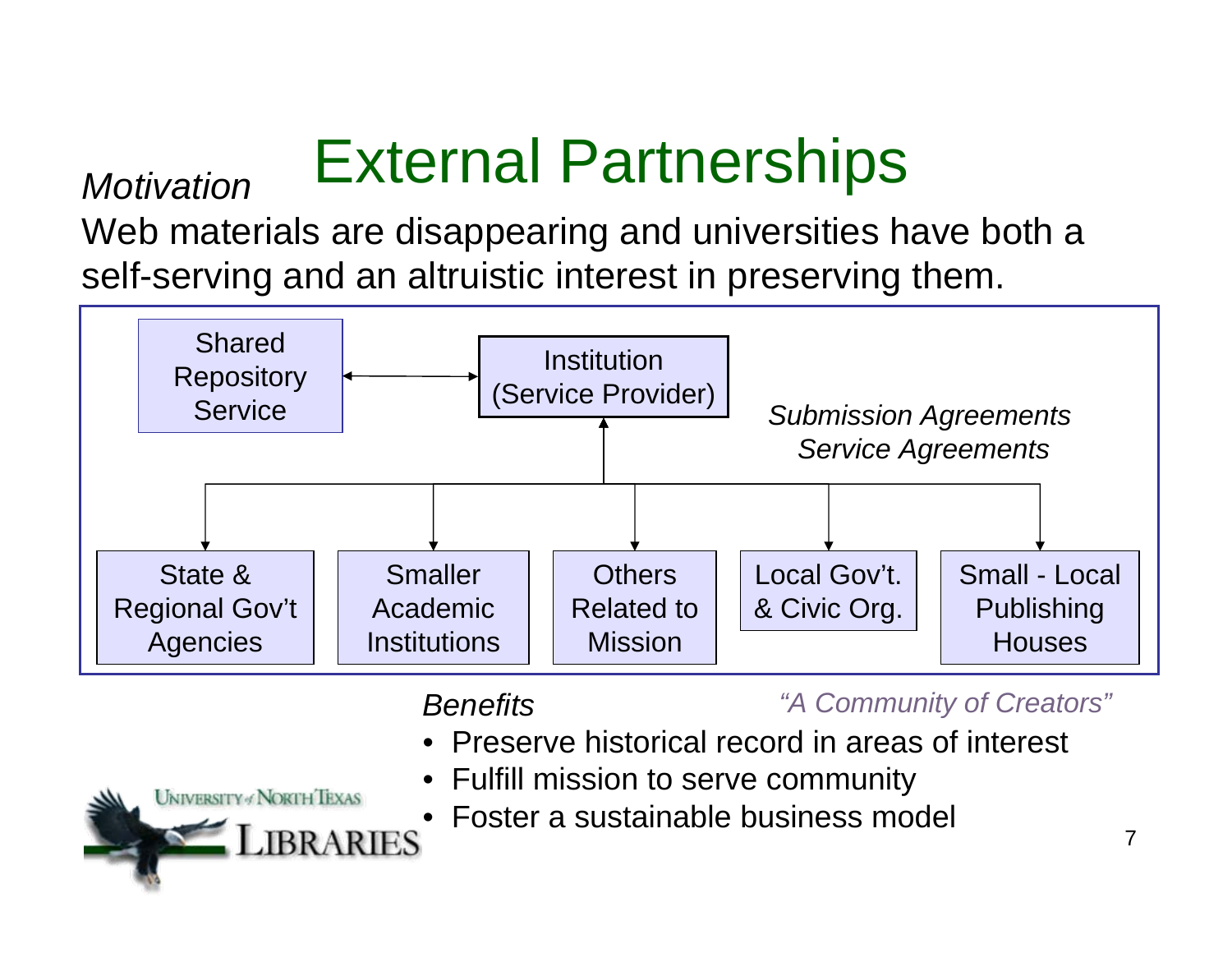# External Partnerships *Motivation*

**UNIVERSITY & NORTH TEXAS** 

RRARIES

Web materials are disappearing and universities have both a self-serving and an altruistic interest in preserving them.



#### *Benefits*

*"A Community of Creators"*

- Preserve historical record in areas of interest
- Fulfill mission to serve community
	- Foster a sustainable business model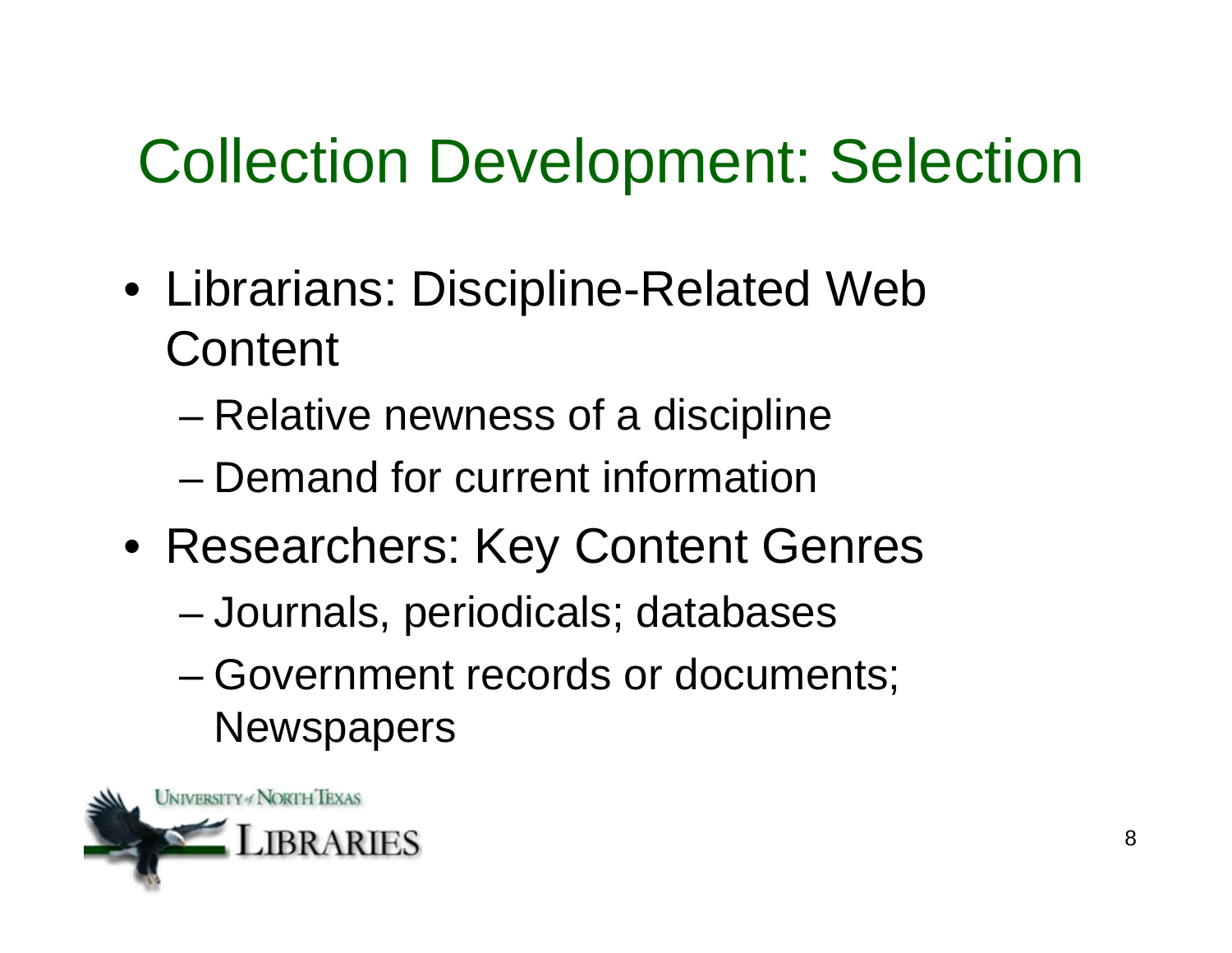## Collection Development: Selection

- Librarians: Discipline-Related Web **Content** 
	- Relative newness of a discipline
	- Demand for current information
- Researchers: Key Content Genres
	- Journals, periodicals; databases
	- Government records or documents; **Newspapers**

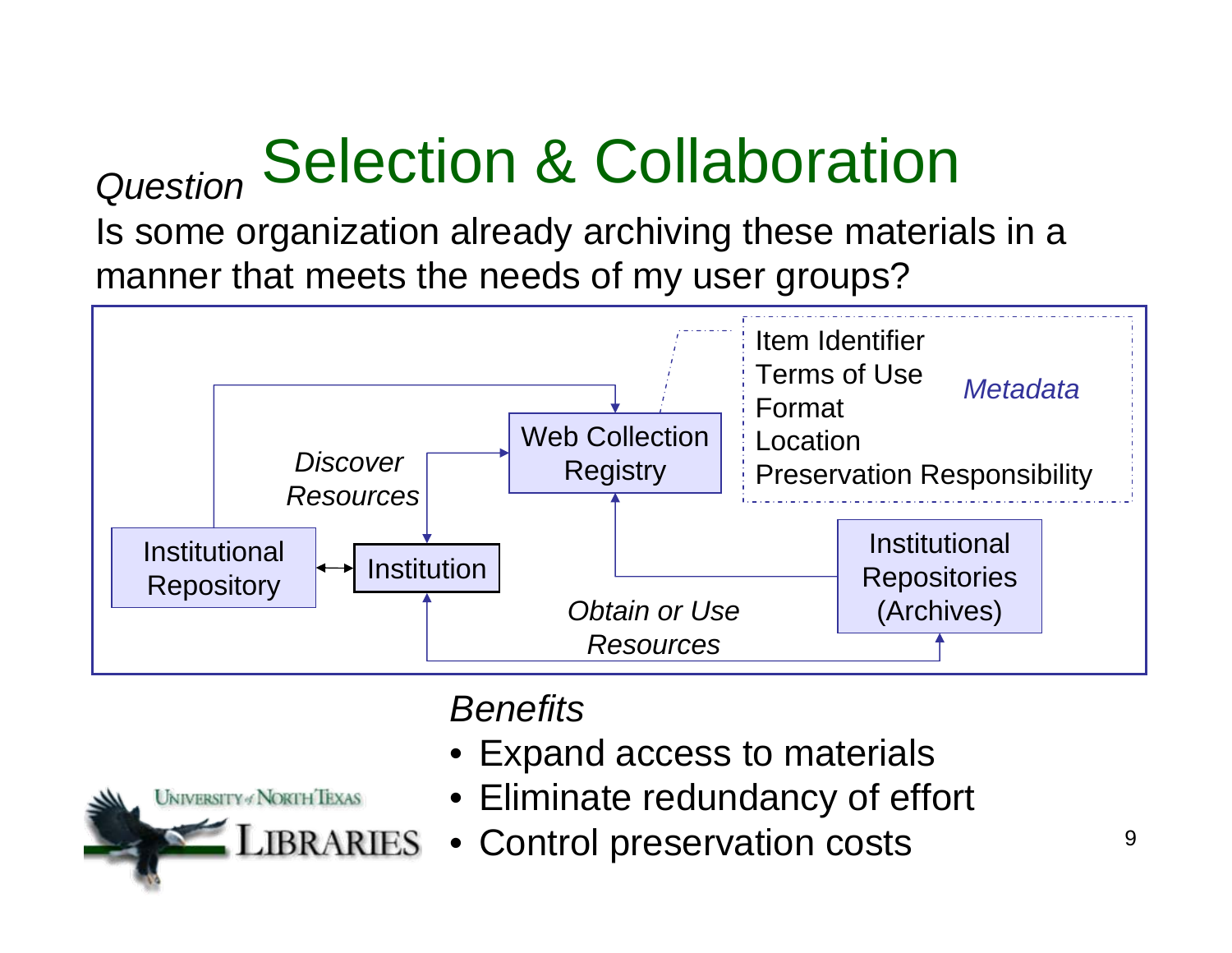# *Question* Selection & Collaboration

Is some organization already archiving these materials in a manner that meets the needs of my user groups?





#### *Benefits*

- Expand access to materials
- Eliminate redundancy of effort
- Control preservation costs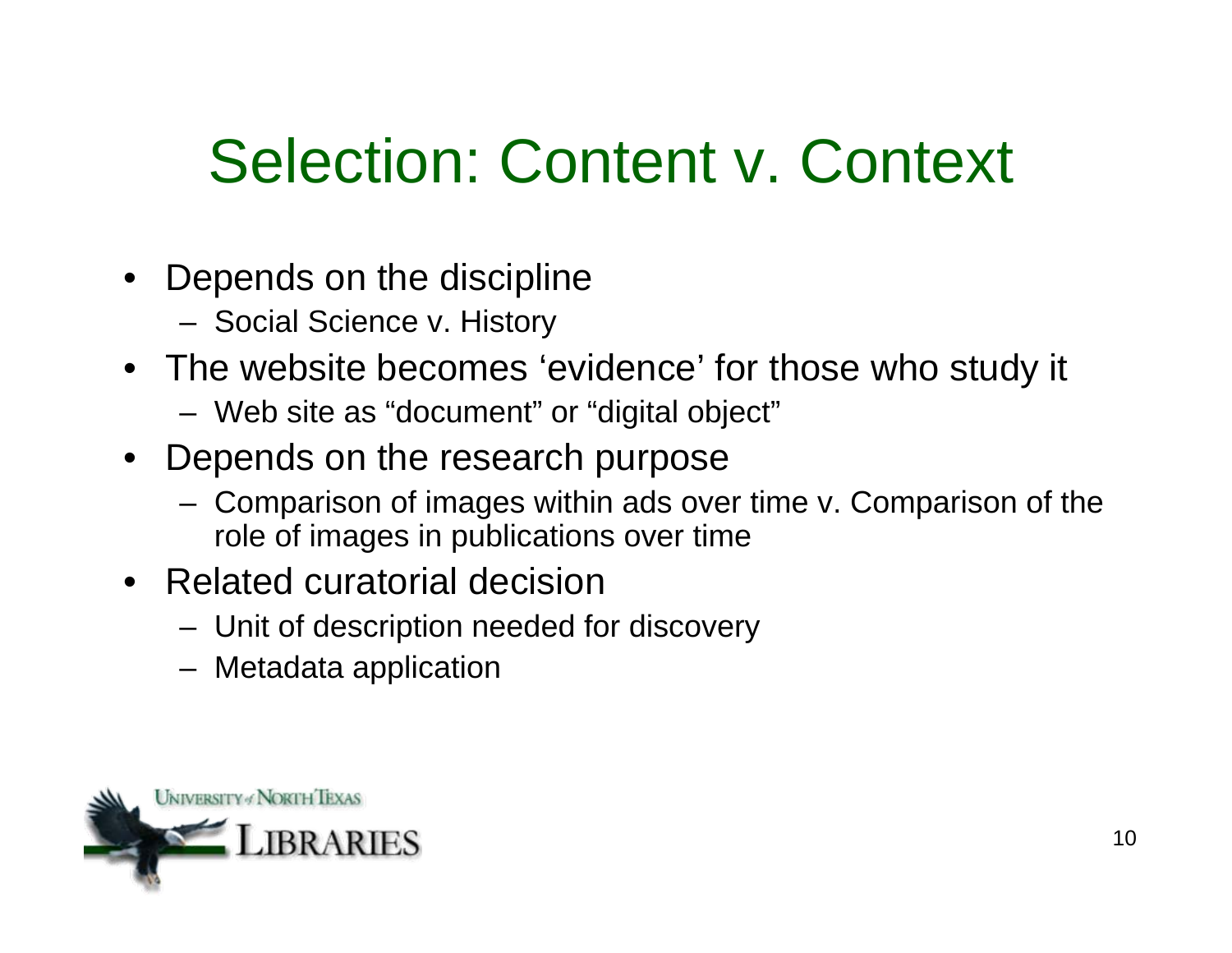## Selection: Content v. Context

- Depends on the discipline
	- Social Science v. History
- The website becomes 'evidence' for those who study it
	- Web site as "document" or "digital object"
- Depends on the research purpose
	- Comparison of images within ads over time v. Comparison of the role of images in publications over time
- Related curatorial decision
	- Unit of description needed for discovery
	- Metadata application

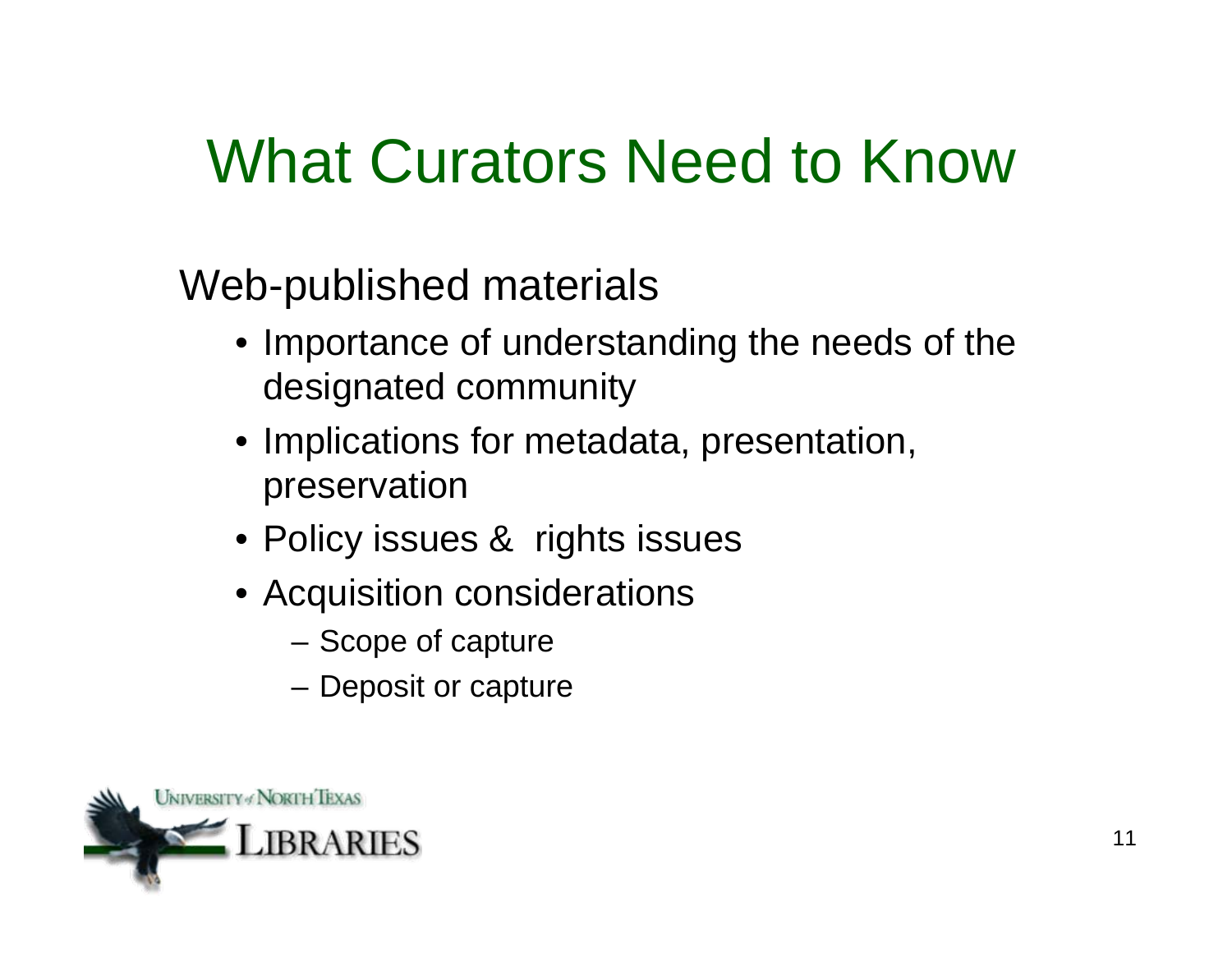### What Curators Need to Know

Web-published materials

- Importance of understanding the needs of the designated community
- Implications for metadata, presentation, preservation
- Policy issues & rights issues
- Acquisition considerations
	- Scope of capture
	- Deposit or capture

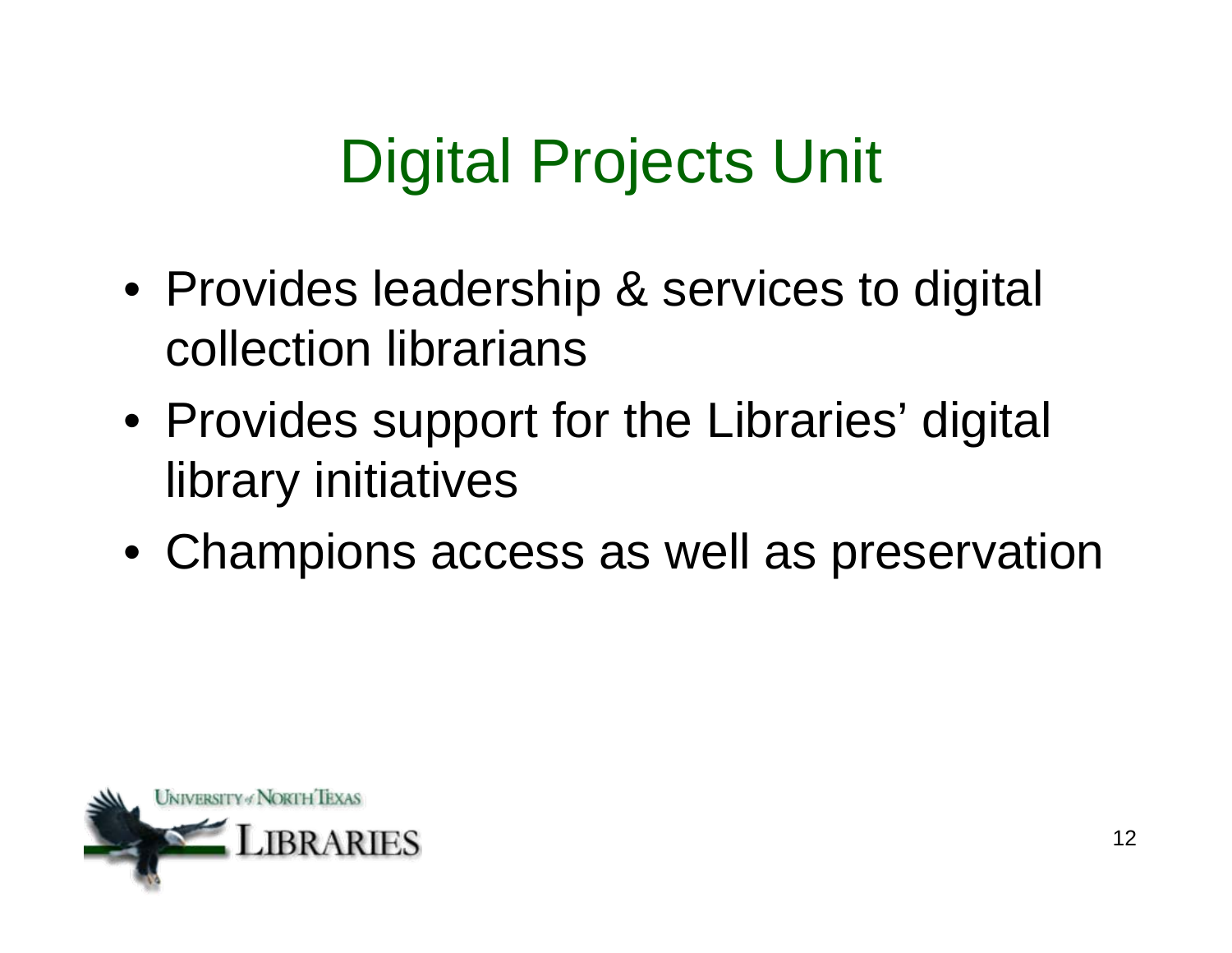# Digital Projects Unit

- Provides leadership & services to digital collection librarians
- Provides support for the Libraries' digital library initiatives
- Champions access as well as preservation

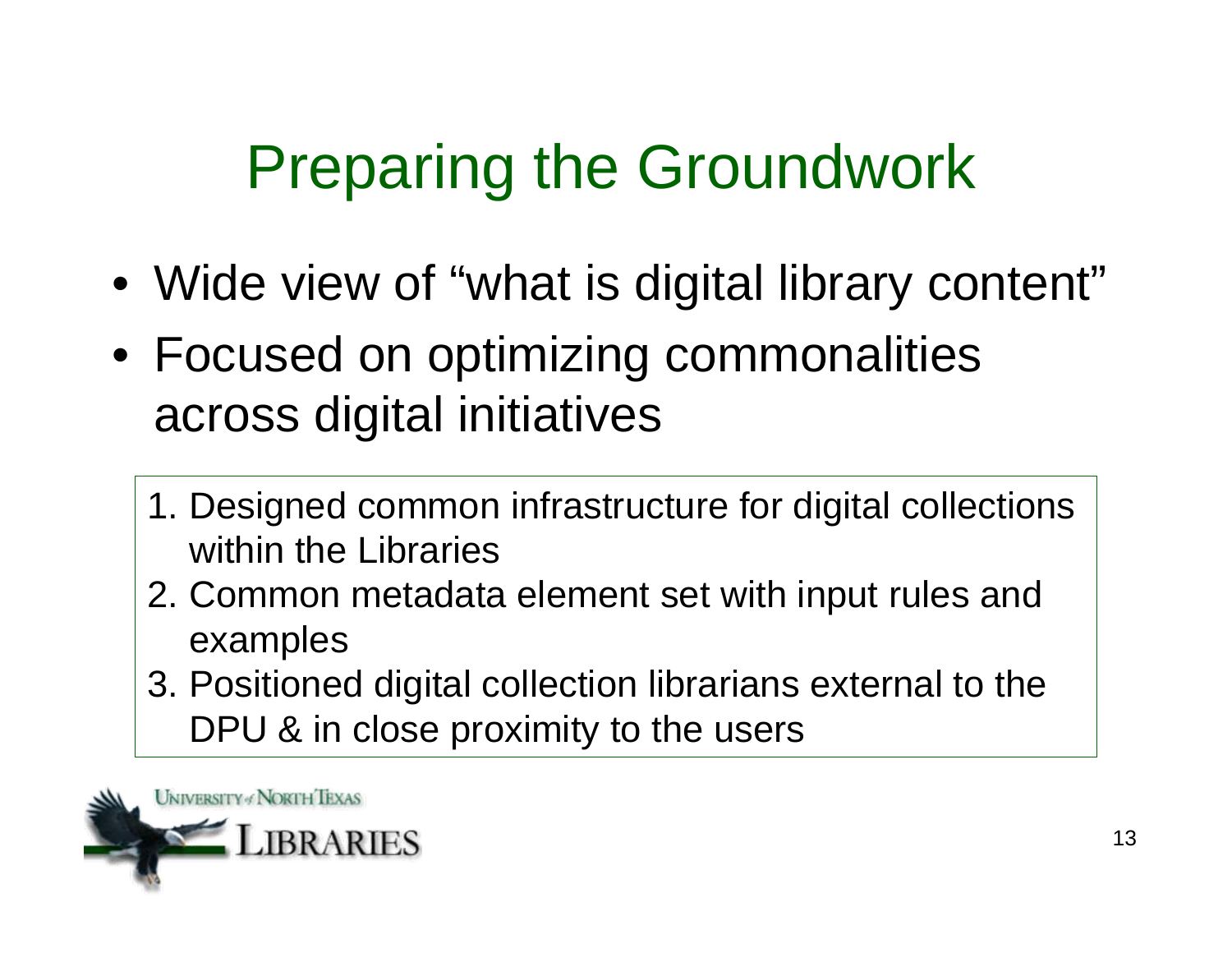# Preparing the Groundwork

- Wide view of "what is digital library content"
- Focused on optimizing commonalities across digital initiatives
	- 1. Designed common infrastructure for digital collections within the Libraries
	- 2. Common metadata element set with input rules and examples
	- 3. Positioned digital collection librarians external to the DPU & in close proximity to the users

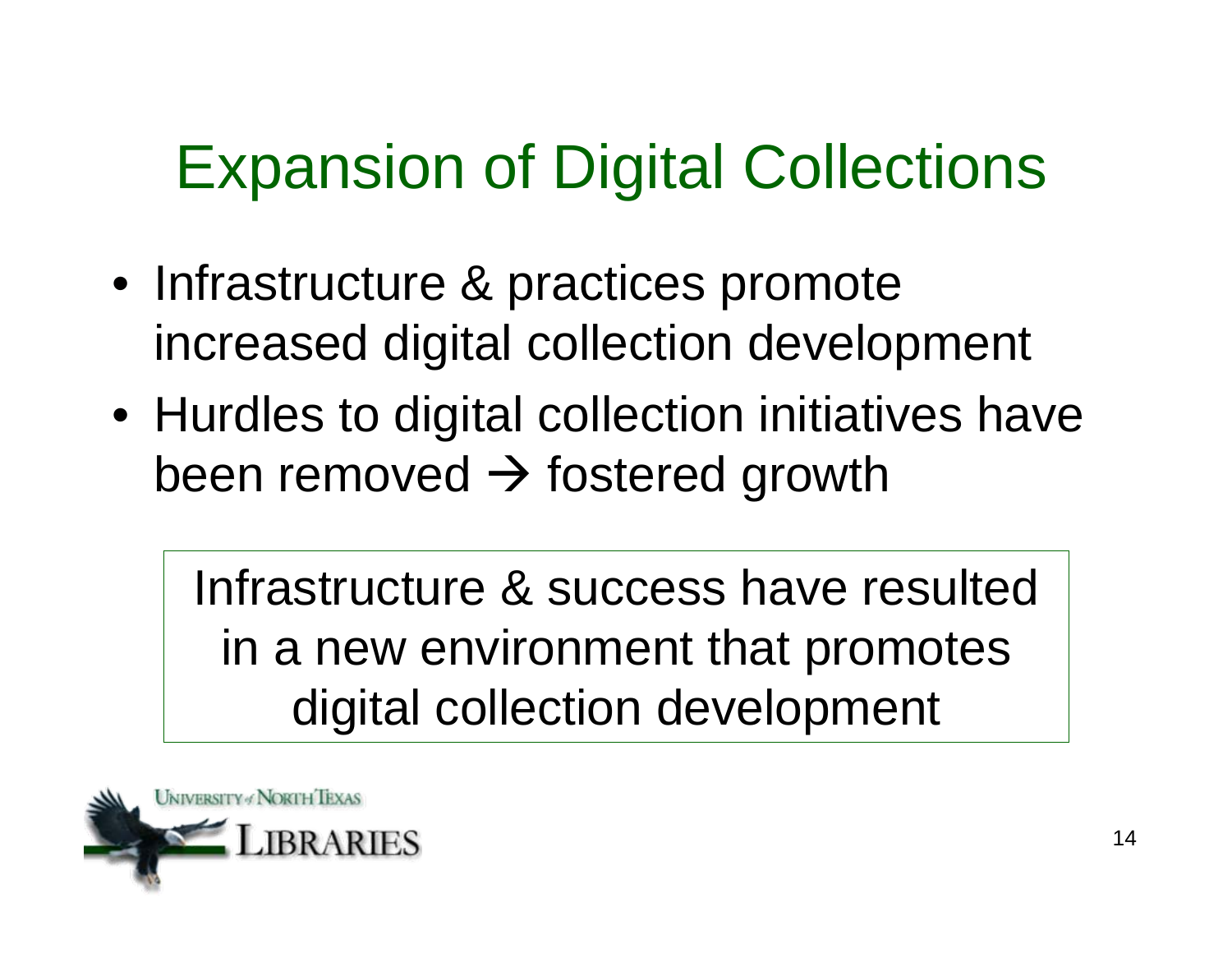## Expansion of Digital Collections

- Infrastructure & practices promote increased digital collection development
- Hurdles to digital collection initiatives have been removed  $\rightarrow$  fostered growth

Infrastructure & success have resulted in a new environment that promotes digital collection development

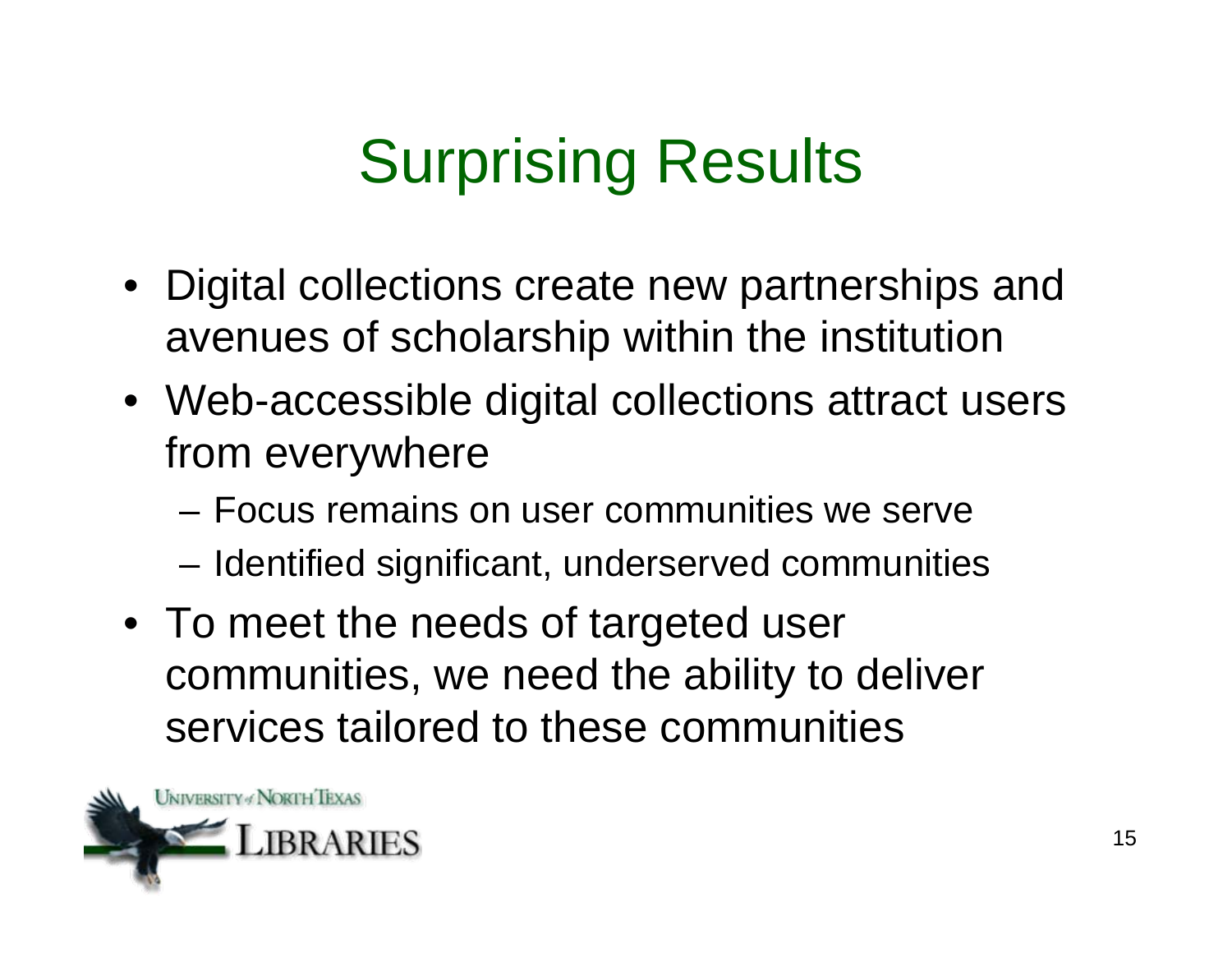# Surprising Results

- Digital collections create new partnerships and avenues of scholarship within the institution
- Web-accessible digital collections attract users from everywhere
	- Focus remains on user communities we serve
	- Identified significant, underserved communities
- To meet the needs of targeted user communities, we need the ability to deliver services tailored to these communities

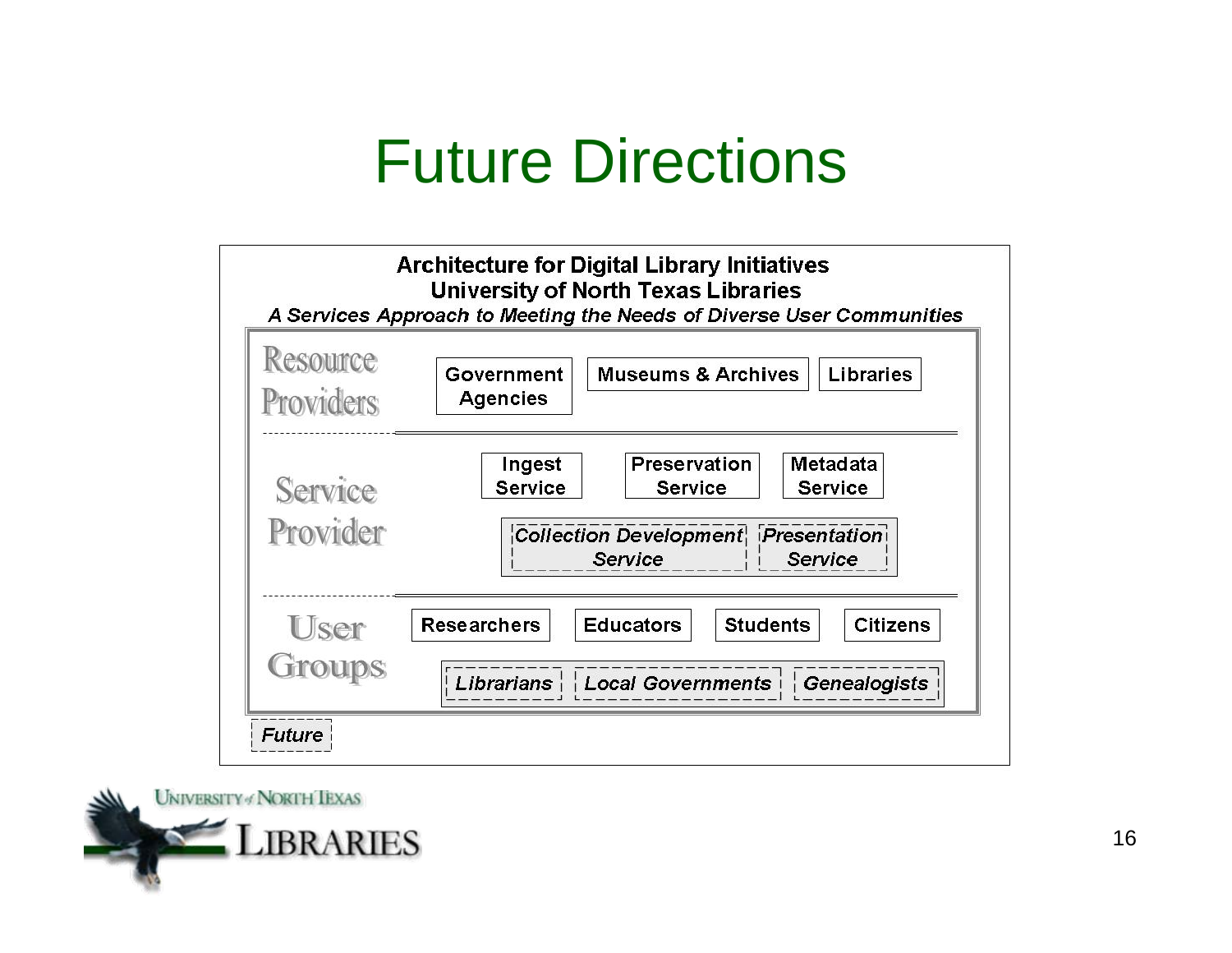### Future Directions



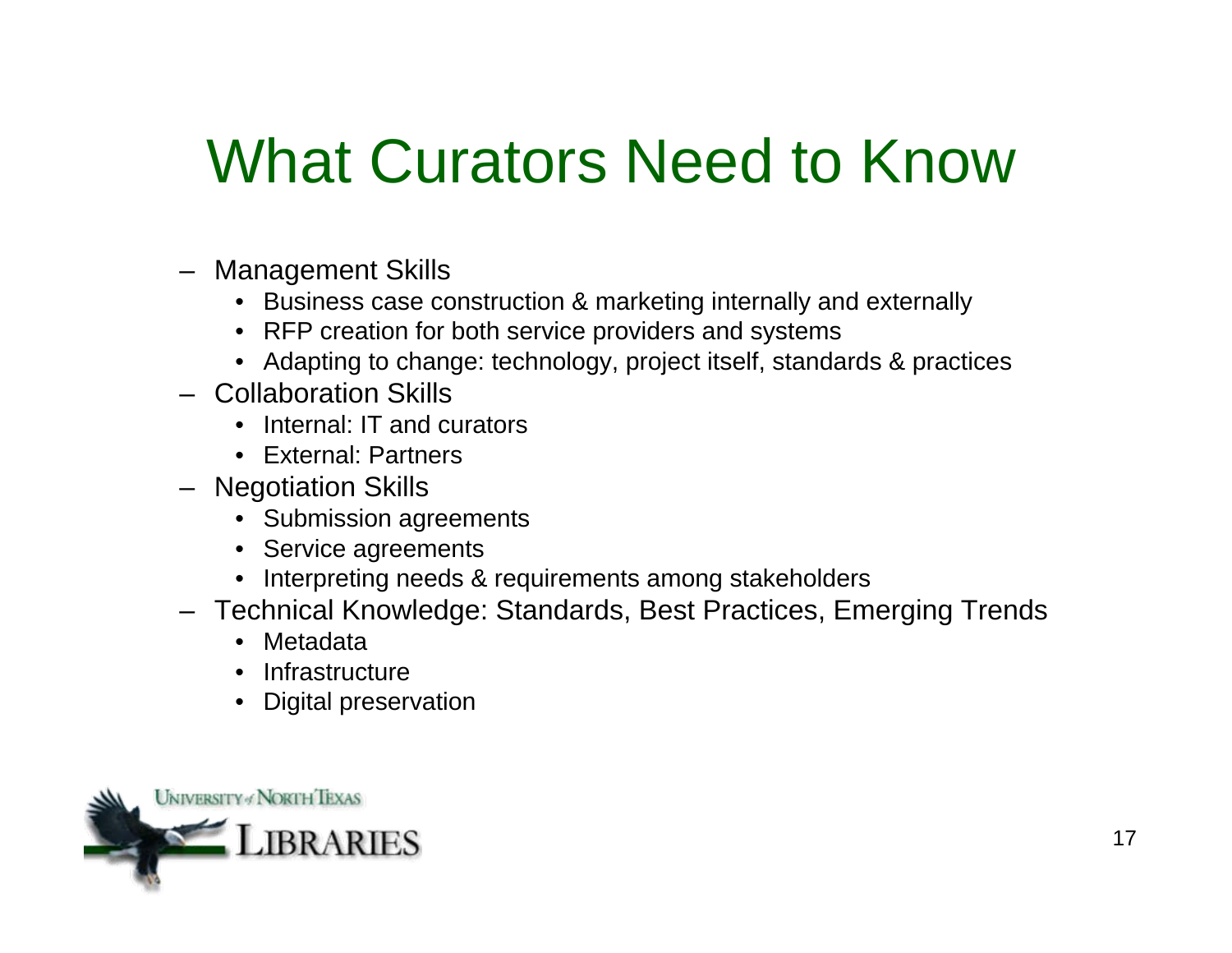### What Curators Need to Know

- Management Skills
	- Business case construction & marketing internally and externally
	- RFP creation for both service providers and systems
	- Adapting to change: technology, project itself, standards & practices
- Collaboration Skills
	- Internal: IT and curators
	- External: Partners
- Negotiation Skills
	- Submission agreements
	- Service agreements
	- Interpreting needs & requirements among stakeholders
- Technical Knowledge: Standards, Best Practices, Emerging Trends
	- Metadata
	- Infrastructure
	- Digital preservation